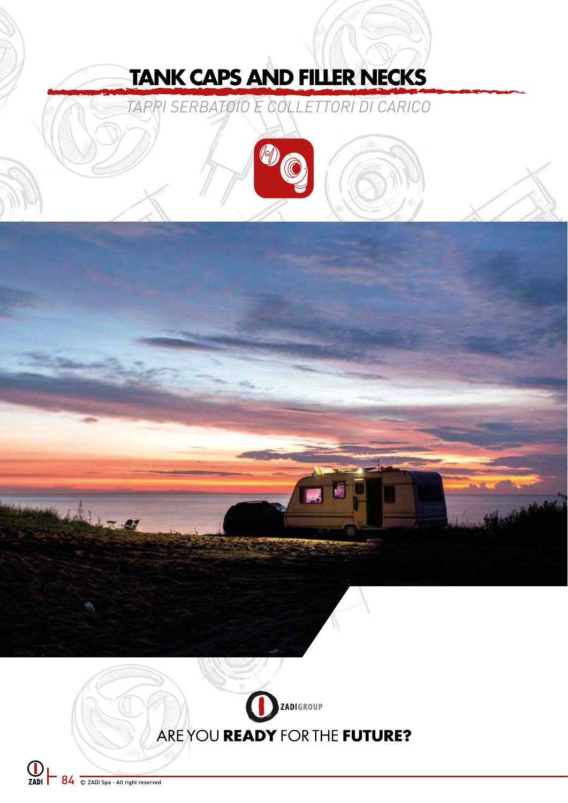# **TANK CAPS AND FILLER NECKS**

*TAPPI SERBATOIO E COLLETTORI DI CARICO*





**EXADI SEA 34 200 Spa - All right reserved** 

Liz a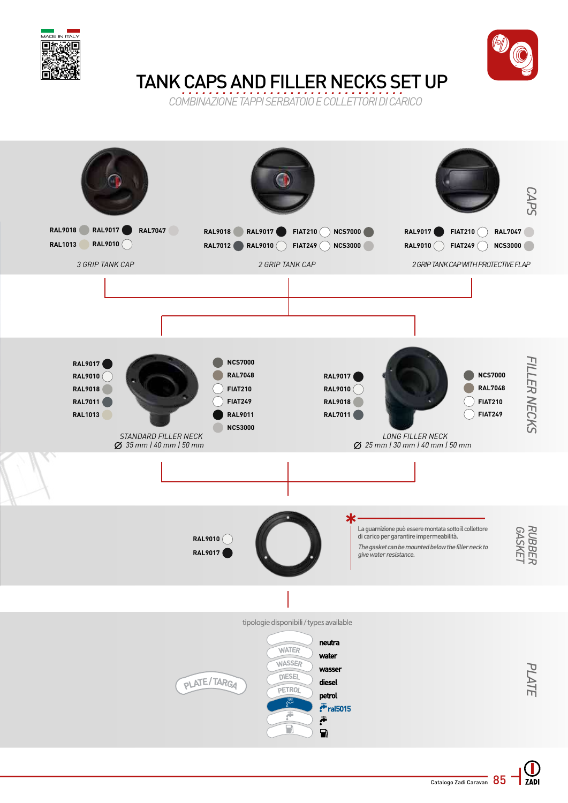



# TANK CAPS AND FILLER NECKS SET UP

*COMBINAZIONE TAPPI SERBATOIO E COLLETTORI DI CARICO*

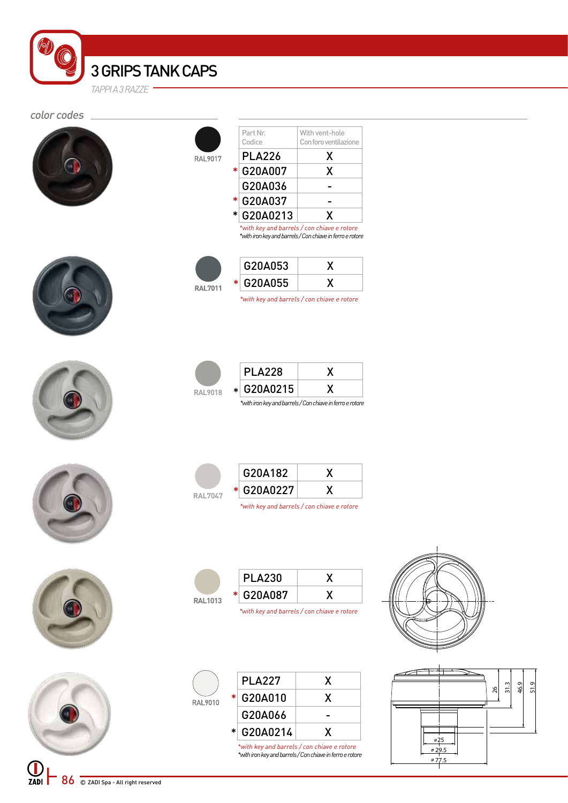3 GRIPS TANK CAPS *TAPPI A 3 RAZZE*

#### color codes



|         |   | Part Nr.      | With vent-hole                              |
|---------|---|---------------|---------------------------------------------|
|         |   | Codice        | Con foro ventilazione                       |
| RAL9017 |   | <b>PLA226</b> | X                                           |
|         | ∗ | G20A007       | X                                           |
|         |   | G20A036       |                                             |
|         | * | G20A037       |                                             |
|         | * | G20A0213      | X                                           |
|         |   |               | *with key and barrels / con chiave e rotore |

G20A053 X G20A055 X

\*

**RAL7011** 

\*

**RAL9018** G20A0215 X

*\*with key and barrels / con chiave e rotore*

*\*with iron key and barrels / Con chiave in ferro e rotore* 

PLA228 X











| <b>RAI 7047</b> | G20A182                                     |  |
|-----------------|---------------------------------------------|--|
|                 | * G20A0227                                  |  |
|                 | *with key and barrels / con chiave e rotore |  |











 $\bigcup_{ZADI}$ 86 C ZADI Spa - All right reserved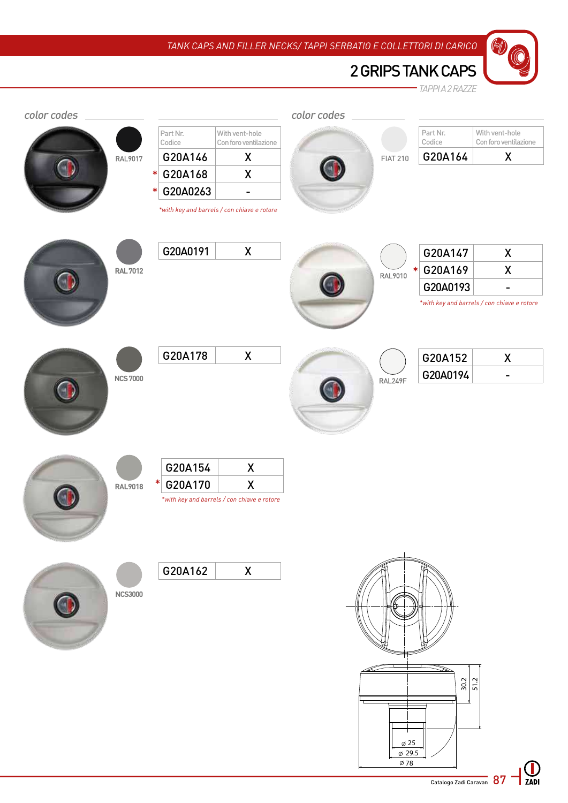







|  | G20A147   |  |
|--|-----------|--|
|  | * G20A169 |  |
|  | G20A0193  |  |

*\*with key and barrels / con chiave e rotore*

| <b>NCS7000</b> |
|----------------|
|                |





| G20A152  |  |
|----------|--|
| G20A0194 |  |





| $*$ G20A170 |                                             |
|-------------|---------------------------------------------|
|             | *with key and barrels / con chiave e rotore |

G20A154 X



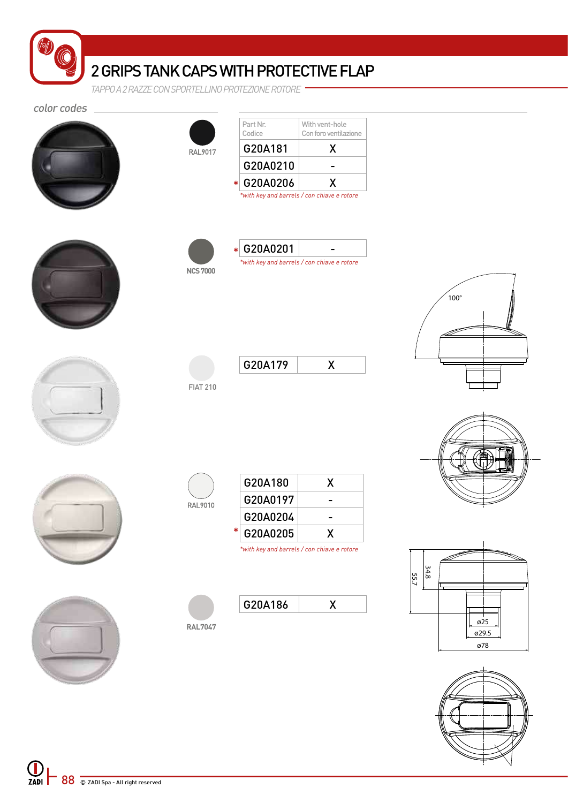|             | 2 GRIPS TANK CAPS WITH PROTECTIVE FLAP             |
|-------------|----------------------------------------------------|
|             | TAPPO A 2 RAZZE CON SPORTEL LINO PROTEZIONE ROTORE |
| color codes |                                                    |



ø25 ø29.5 ø78

 $100^\circ$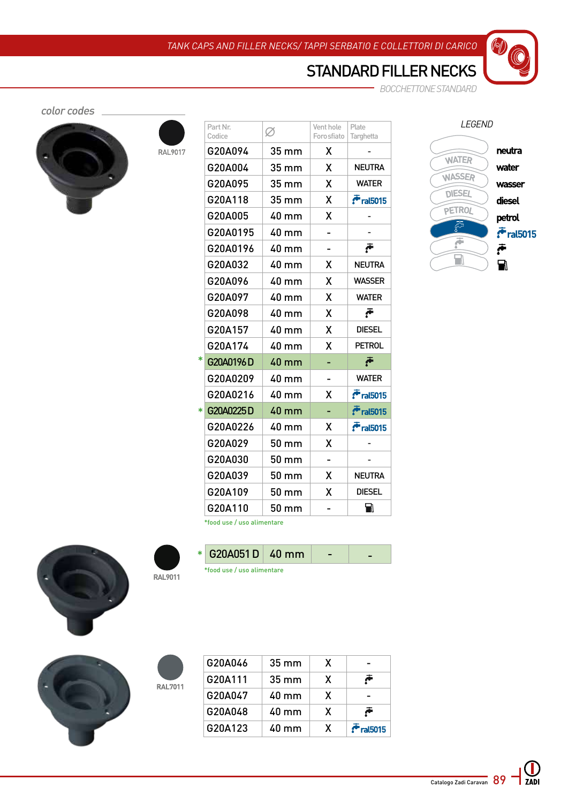## STANDARD FILLER NECKS

*BOCCHETTONE STANDARD*

color codes



RAL9017

|        | Part Nr.<br>Codice | Ø               | Vent hole<br>Foro sfiato | Plate<br>Targhetta |
|--------|--------------------|-----------------|--------------------------|--------------------|
|        | G20A094            | 35 mm           | X                        |                    |
|        | G20A004            | 35 mm           | X                        | <b>NEUTRA</b>      |
|        | G20A095            | 35 mm           | X                        | <b>WATER</b>       |
|        | G20A118            | 35 mm           | χ                        | $F$ ral $5015$     |
|        | G20A005            | $40 \text{ mm}$ | X                        |                    |
|        | G20A0195           | 40 mm           |                          |                    |
|        | G20A0196           | 40 mm           |                          |                    |
|        | G20A032            | 40 mm           | X                        | <b>NEUTRA</b>      |
|        | G20A096            | 40 mm           | X                        | <b>WASSER</b>      |
|        | G20A097            | 40 mm           | X                        | <b>WATER</b>       |
|        | G20A098            | 40 mm           | X                        | Ā                  |
|        | G20A157            | 40 mm           | X                        | <b>DIESEL</b>      |
|        | G20A174            | 40 mm           | X                        | <b>PETROL</b>      |
| $\ast$ | G20A0196D          | 40 mm           |                          | Ā                  |
|        | G20A0209           | 40 mm           |                          | <b>WATER</b>       |
|        | G20A0216           | $40 \text{ mm}$ | X                        | $\bar{r}$ ral5015  |
| $\ast$ | G20A0225D          | 40 mm           |                          | $\cdot$ ral5015    |
|        | G20A0226           | 40 mm           | Χ                        | $F$ ral $5015$     |
|        | G20A029            | 50 mm           | X                        |                    |
|        | G20A030            | $50 \text{ mm}$ | -                        |                    |
|        | G20A039            | 50 mm           | x                        | NEUTRA             |
|        | G20A109            | 50 mm           | X                        | <b>DIESEL</b>      |
|        | G20A110            | 50 mm           |                          | Ы                  |
|        |                    |                 |                          |                    |



\*food use / uso alimentare



**RAL9011**

**RAL7011** 

\*food use / uso alimentare



| G20A046 | $35 \text{ mm}$ | X |                |
|---------|-----------------|---|----------------|
| G20A111 | $35 \text{ mm}$ | X | Ā              |
| G20A047 | $40 \text{ mm}$ | X |                |
| G20A048 | $40 \text{ mm}$ | X | Ā              |
| G20A123 | $40 \text{ mm}$ | X | $F$ ral $5015$ |

 $*$  G20A051 D 40 mm -  $-$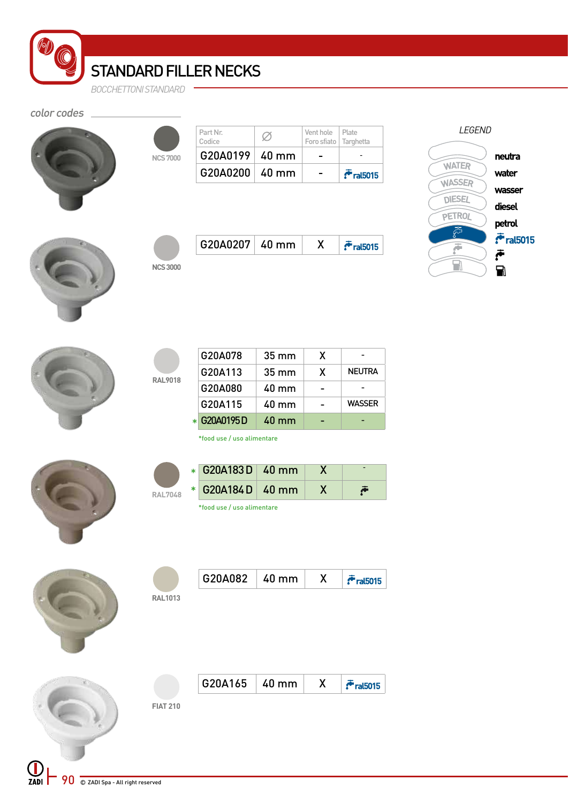STANDARD FILLER NECKS

*BOCCHETTONI STANDARD*

### color codes



|                | $G20A0200   40$ mm    |   |                                            | $\bar{r}$ ral $5015$ |
|----------------|-----------------------|---|--------------------------------------------|----------------------|
| <b>NCS7000</b> | $G20A0199 \mid 40$ mm |   |                                            |                      |
|                | Part Nr.<br>Codice    | Ø | Vent hole Plate<br>Foro sfiato   Targhetta |                      |

| <i>LEGEND</i>                 |                      |  |
|-------------------------------|----------------------|--|
|                               | neutra               |  |
| <b>WATER</b><br><b>WASSER</b> | water                |  |
| <b>DIESEL</b>                 | wasser               |  |
| <b>PETROL</b>                 | diesel<br>petrol     |  |
|                               | $\bar{r}$ ral $5015$ |  |
|                               | Ā                    |  |
|                               |                      |  |



| <b>NCS 3000</b> |
|-----------------|

**RAL9018**

| <b>0A0207</b><br>G1 | 40.<br>mm |  |
|---------------------|-----------|--|
|                     |           |  |

| G20A078     | $35 \text{ mm}$ | X |               |
|-------------|-----------------|---|---------------|
| G20A113     | $35 \text{ mm}$ | X | <b>NEUTRA</b> |
| G20A080     | 40 mm           |   |               |
| G20A115     | $40 \text{ mm}$ |   | <b>WASSER</b> |
| * G20A0195D | $40 \text{ mm}$ |   |               |

\*food use / uso alimentare



|                | $\star$ G20A183 D $\vert$ 40 mm |  |  |
|----------------|---------------------------------|--|--|
| <b>RAL7048</b> | $*$ G20A184 D $\mid$ 40 mm      |  |  |
|                | *food use / uso alimentare      |  |  |

| G20A082<br>mm<br>411 |  | 715 |
|----------------------|--|-----|
|----------------------|--|-----|

 $\vec{r}$ ral $5015$ 

**RAL1013**

|                 | $G20A165$ 40 mm $X$ |  |
|-----------------|---------------------|--|
| <b>FIAT 210</b> |                     |  |
|                 |                     |  |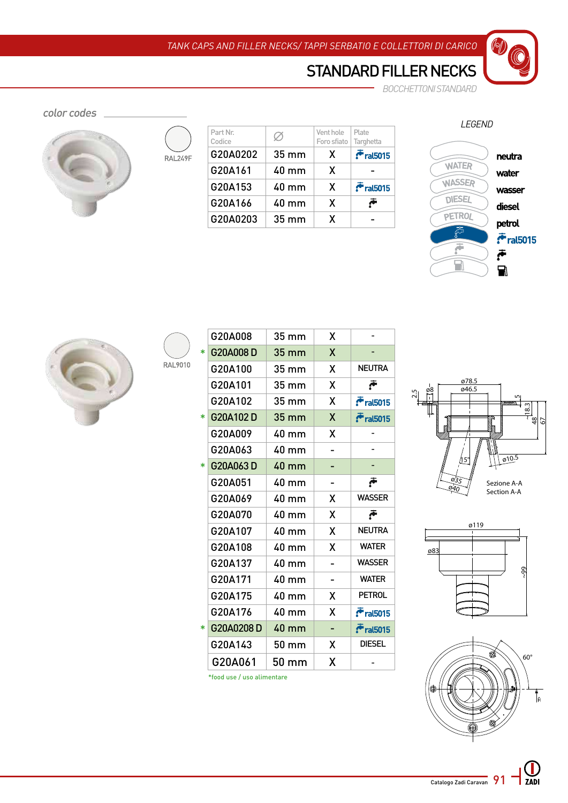## STANDARD FILLER NECKS

*BOCCHETTONI STANDARD*  $\overline{a}$ 

color codes



| RAL249F |  |
|---------|--|
|         |  |
|         |  |
|         |  |

RAL9010

| Part Nr. | Ø               | Vent hole   | Plate                |
|----------|-----------------|-------------|----------------------|
| Codice   |                 | Foro sfiato | Targhetta            |
| G20A0202 | $35 \text{ mm}$ | X           | $\bar{r}$ ral $5015$ |
| G20A161  | $40 \text{ mm}$ | X           |                      |
| G20A153  | $40 \text{ mm}$ | X           | $F$ ral $5015$       |
| G20A166  | $40 \text{ mm}$ | X           | Ā                    |
| G20A0203 | $35 \text{ mm}$ | X           |                      |

*LEGEND*

 $\mathcal{O}$ 





|        | G20A008                    | 35 mm           | χ |                |
|--------|----------------------------|-----------------|---|----------------|
| $\ast$ | G20A008D                   | 35 mm           | X |                |
|        | G20A100                    | 35 mm           | χ | <b>NEUTRA</b>  |
|        | G20A101                    | 35 mm           | X |                |
|        | G20A102                    | 35 mm           | Χ | $F$ ral $5015$ |
| *      | G20A102D                   | 35 mm           | χ | $F$ ral $5015$ |
|        | G20A009                    | 40 mm           | x |                |
|        | G20A063                    | 40 mm           |   |                |
| $\ast$ | G20A063D                   | 40 mm           |   |                |
|        | G20A051                    | 40 mm           |   |                |
|        | G20A069                    | 40 mm           | X | <b>WASSER</b>  |
|        | G20A070                    | 40 mm           | X | Ā              |
|        | G20A107                    | 40 mm           | X | <b>NEUTRA</b>  |
|        | G20A108                    | 40 mm           | X | <b>WATER</b>   |
|        | G20A137                    | $40 \text{ mm}$ | - | <b>WASSER</b>  |
|        | G20A171                    | 40 mm           |   | <b>WATER</b>   |
|        | G20A175                    | 40 mm           | x | <b>PETROL</b>  |
|        | G20A176                    | 40 mm           | X | $F$ ral $5015$ |
| $\ast$ | G20A0208D                  | 40 mm           |   | $r$ ral $5015$ |
|        | G20A143                    | 50 mm           | x | <b>DIESEL</b>  |
|        | G20A061                    | 50 mm           | χ |                |
|        | *food use / uso alimentare |                 |   |                |







 $ZADI$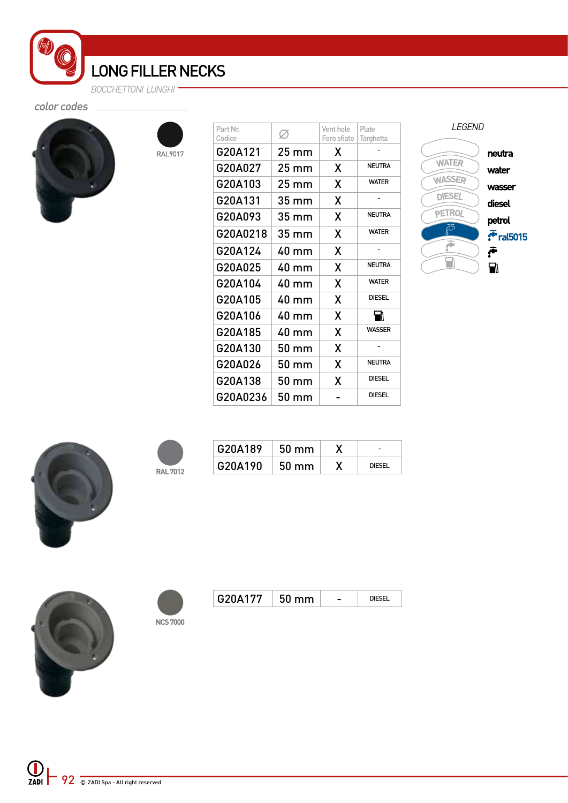LONG FILLER NECKS *BOCCHETTONI LUNGHI*

RAL9017

color codes



| Part Nr.<br>Codice | V.    | Vent hole<br>Foro sfiato | Plate<br>Targhetta |
|--------------------|-------|--------------------------|--------------------|
| G20A121            | 25 mm | X                        |                    |
| G20A027            | 25 mm | X                        | <b>NEUTRA</b>      |
| G20A103            | 25 mm | X                        | <b>WATER</b>       |
| G20A131            | 35 mm | X                        |                    |
| G20A093            | 35 mm | X                        | <b>NEUTRA</b>      |
| G20A0218           | 35 mm | X                        | <b>WATER</b>       |
| G20A124            | 40 mm | X                        |                    |
| G20A025            | 40 mm | X                        | <b>NEUTRA</b>      |
| G20A104            | 40 mm | X                        | <b>WATFR</b>       |
| G20A105            | 40 mm | X                        | <b>DIESEL</b>      |
| G20A106            | 40 mm | X                        | ₩                  |
| G20A185            | 40 mm | χ                        | <b>WASSER</b>      |
| G20A130            | 50 mm | X                        |                    |
| G20A026            | 50 mm | X                        | <b>NEUTRA</b>      |
| G20A138            | 50 mm | X                        | <b>DIESEL</b>      |
| G20A0236           | 50 mm |                          | <b>DIESEL</b>      |
|                    |       |                          |                    |

*LEGEND* neutra **WATER** water WASSER wasser **DIESEL** diesel PETROL petrol 5ج  $\ddot{\cdot}$  ral5015 ē 产品  $\overline{\mathbf{H}}$ 



|  | <b>RAL 7012</b> |
|--|-----------------|

| G20A189 | $50 \text{ mm}$ |               |
|---------|-----------------|---------------|
| G20A190 | $50 \text{ mm}$ | <b>DIFSEL</b> |



|          | G20A177 |  |
|----------|---------|--|
|          |         |  |
| NCS 7000 |         |  |

| G20A177 | $50 \text{ mm}$ |  |
|---------|-----------------|--|
|         |                 |  |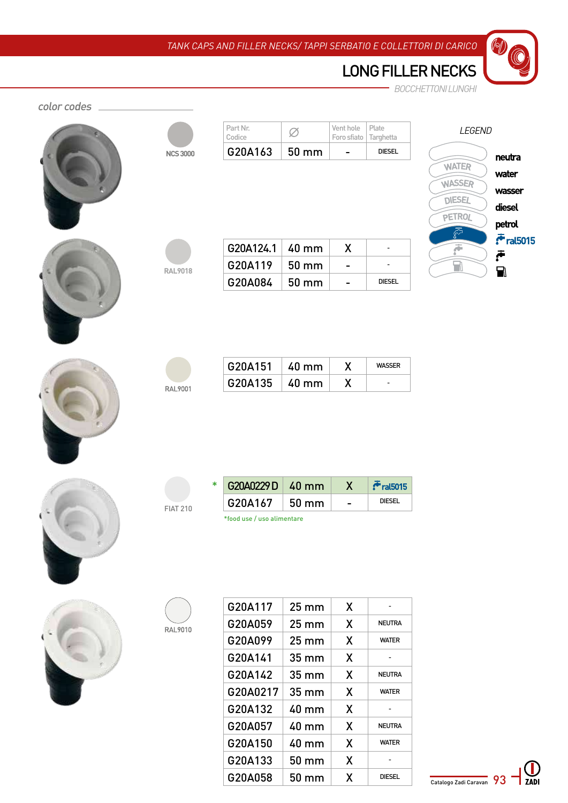$\sqrt{2}$ 

|             |                 |                            |                   |                          |                          | <b>BOCCHETTONI LUNGHI</b>                        |
|-------------|-----------------|----------------------------|-------------------|--------------------------|--------------------------|--------------------------------------------------|
| color codes |                 |                            |                   |                          |                          |                                                  |
|             |                 | Part Nr.<br>Codice         | Ø                 | Vent hole<br>Foro sfiato | Plate<br>Targhetta       | LEGEND                                           |
|             | <b>NCS 3000</b> | G20A163                    | 50 mm             | -                        | <b>DIESEL</b>            |                                                  |
|             |                 |                            |                   |                          |                          | neutra<br><b>WATER</b>                           |
|             |                 |                            |                   |                          |                          | water<br><b>WASSER</b>                           |
|             |                 |                            |                   |                          |                          | wasser<br><b>DIESEL</b>                          |
|             |                 |                            |                   |                          |                          | diesel<br>PETROL                                 |
|             |                 |                            |                   |                          |                          | petrol<br><u>డ్రో</u><br>$\bar{\tau}$ ral $5015$ |
|             |                 | G20A124.1                  | 40 mm             | X                        | -                        | F<br>خ                                           |
|             | <b>RAL9018</b>  | G20A119                    | 50 mm             | -                        | -                        | $\Box$<br>$\blacksquare$                         |
|             |                 | G20A084                    | 50 mm             | ۰                        | <b>DIESEL</b>            |                                                  |
|             |                 |                            |                   |                          |                          |                                                  |
|             |                 | G20A151                    | 40 mm             | X                        | <b>WASSER</b>            |                                                  |
|             | RAL9001         | G20A135                    | 40 mm             | X                        | $\overline{\phantom{a}}$ |                                                  |
|             |                 |                            |                   |                          |                          |                                                  |
|             |                 | G20A0229D<br>*             | <b>40 mm</b>      | $\boldsymbol{X}$         | $F$ ral $5015$           |                                                  |
|             | <b>FIAT 210</b> | G20A167                    | $50 \text{ mm}$   | $\overline{\phantom{0}}$ | <b>DIESEL</b>            |                                                  |
|             |                 | *food use / uso alimentare |                   |                          |                          |                                                  |
|             |                 |                            |                   |                          |                          |                                                  |
|             |                 | G20A117                    | $25 \, \text{mm}$ | X                        |                          |                                                  |
|             | RAL9010         | G20A059                    | 25 mm             | X                        | <b>NEUTRA</b>            |                                                  |
|             |                 | G20A099                    | $25 \, \text{mm}$ | X                        | <b>WATER</b>             |                                                  |
|             |                 | G20A141                    | $35 \, \text{mm}$ | X                        |                          |                                                  |
|             |                 | G20A142                    | $35 \, \text{mm}$ | X                        | <b>NEUTRA</b>            |                                                  |
|             |                 | G20A0217                   | 35 mm             | X                        | <b>WATER</b>             |                                                  |
|             |                 | G20A132                    | 40 mm             | X                        | $\overline{\phantom{a}}$ |                                                  |
|             |                 | G20A057                    | 40 mm             | X                        | <b>NEUTRA</b>            |                                                  |

G20A150 40 mm X | WATER G20A133 50 mm  $X$  - $G20A058$  50 mm  $X$  DIESEL

Catalogo Zadi Caravan 93  $\sum$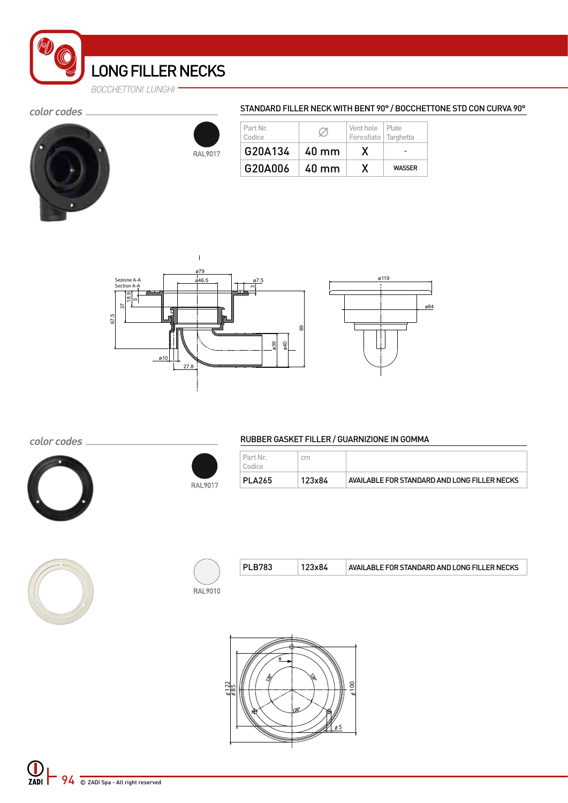*BOCCHETTONI LUNGHI*

#### color codes \_





 $\mathbf{I}$ 

#### STANDARD FILLER NECK WITH BENT 90° / BOCCHETTONE STD CON CURVA 90°

| Part Nr.<br>Codice |                 | Vent hole   Plate<br>Forosfiato Targhetta |               |
|--------------------|-----------------|-------------------------------------------|---------------|
| G20A134            | $40 \text{ mm}$ |                                           |               |
| G20A006            | $40 \text{ mm}$ |                                           | <b>WASSER</b> |





color codes \_



#### RUBBER GASKET FILLER / GUARNIZIONE IN GOMMA

| <b>PLA265</b>      | 123x84 | AVAILABLE FOR STANDARD AND LONG FILLER NECKS |
|--------------------|--------|----------------------------------------------|
| Part Nr.<br>Codice | cm     |                                              |



| PLB783 | 123x84 | AVAILABLE FOR STANDARD AND LONG FILLER NECKS |
|--------|--------|----------------------------------------------|
|        |        |                                              |

**RAL9010** 

RAL9017

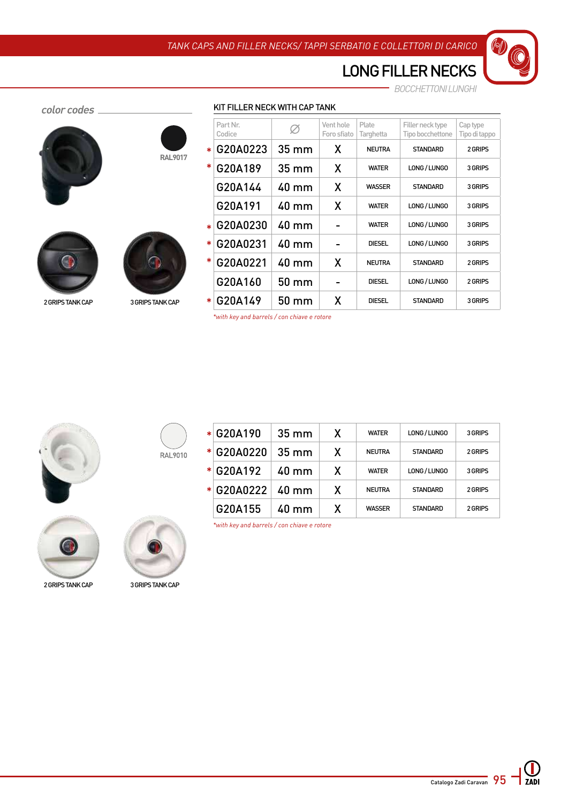*BOCCHETTONI LUNGHI*

| color codes |                          | KIT FILLER NECK WITH CAP TANK |                   |                              |                    |                                      |                           |
|-------------|--------------------------|-------------------------------|-------------------|------------------------------|--------------------|--------------------------------------|---------------------------|
|             |                          | Part Nr.<br>Codice            |                   | Vent hole<br>Foro sfiato     | Plate<br>Targhetta | Filler neck type<br>Tipo bocchettone | Cap type<br>Tipo di tappo |
|             | $\ast$<br><b>RAL9017</b> | G20A0223                      | $35 \, \text{mm}$ | X                            | <b>NEUTRA</b>      | <b>STANDARD</b>                      | 2 GRIPS                   |
|             | ∗                        | G20A189                       | 35 mm             | X                            | <b>WATER</b>       | LONG / LUNGO                         | 3 GRIPS                   |
|             |                          | G20A144                       | 40 mm             | X                            | <b>WASSER</b>      | <b>STANDARD</b>                      | 3 GRIPS                   |
|             |                          | G20A191                       | 40 mm             | X                            | <b>WATER</b>       | LONG / LUNGO                         | 3 GRIPS                   |
|             | $\star$                  | G20A0230                      | 40 mm             | $\overline{\phantom{0}}$     | <b>WATER</b>       | LONG / LUNGO                         | 3 GRIPS                   |
|             | $\ast$                   | G20A0231                      | 40 mm             | $\qquad \qquad \blacksquare$ | <b>DIESEL</b>      | LONG / LUNGO                         | 3 GRIPS                   |
|             | ∗                        | G20A0221                      | 40 mm             | X                            | <b>NEUTRA</b>      | <b>STANDARD</b>                      | 2 GRIPS                   |
|             |                          | G20A160                       | 50 mm             | $\overline{\phantom{0}}$     | <b>DIESEL</b>      | LONG / LUNGO                         | 2 GRIPS                   |
|             |                          |                               |                   |                              |                    |                                      |                           |

### 2 grips tank cap 3 grips tank cap \*  $\big|$   $\mathsf{G20A149}$   $\big|$   $\mathsf{50\,mm}\big|$   $\mathsf{X}$  ,  $\big|$  diesel  $\big|$  standard  $\big|$  3 grips

| *with key and barrels / con chiave e rotore |  |
|---------------------------------------------|--|
|---------------------------------------------|--|







2 GRIPS TANK CAP 3 GRIPS TANK CAP



| $\ast$ | G20A190  | $35 \text{ mm}$ | X | <b>WATER</b>  | LONG / LUNGO    | 3 GRIPS |
|--------|----------|-----------------|---|---------------|-----------------|---------|
| $\ast$ | G20A0220 | $35 \text{ mm}$ | X | <b>NEUTRA</b> | <b>STANDARD</b> | 2 GRIPS |
| $\ast$ | G20A192  | $40 \text{ mm}$ | X | <b>WATFR</b>  | LONG / LUNGO    | 3 GRIPS |
| $\ast$ | G20A0222 | $40 \text{ mm}$ | X | <b>NEUTRA</b> | <b>STANDARD</b> | 2 GRIPS |
|        | G20A155  | $40 \text{ mm}$ | X | <b>WASSER</b> | <b>STANDARD</b> | 2 GRIPS |

*\*with key and barrels / con chiave e rotore*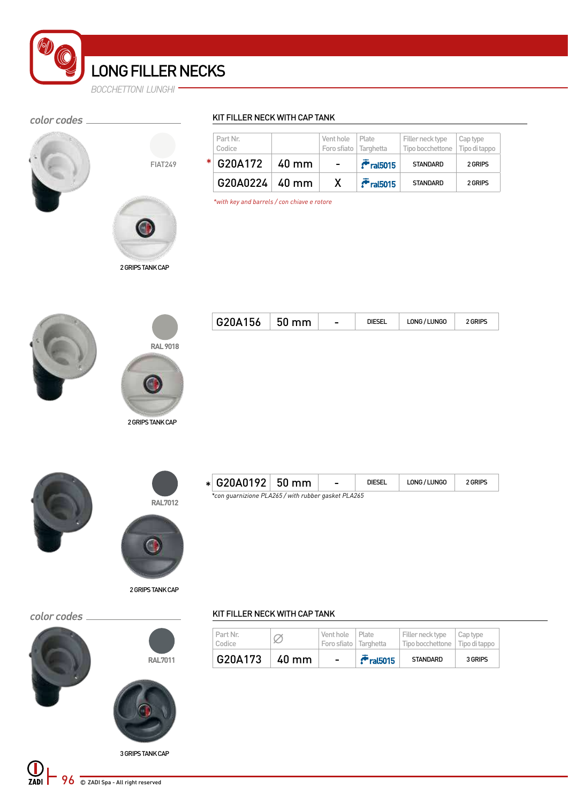### color codes \_



**RAL 9018**



### KIT FILLER NECK WITH CAP TANK

| Part Nr.<br>Codice |       | Vent hole<br>Foro sfiato   Targhetta | Plate          | Filler neck type<br>Tipo bocchettone   Tipo di tappo | Cap type |
|--------------------|-------|--------------------------------------|----------------|------------------------------------------------------|----------|
| $*$ G20A172        | 40 mm | $\blacksquare$                       | $F$ ral $5015$ | <b>STANDARD</b>                                      | 2 GRIPS  |
| $G20A0224   40$ mm |       | X                                    | $F$ ral $5015$ | <b>STANDARD</b>                                      | 2 GRIPS  |

*\*with key and barrels / con chiave e rotore*



|  |  | G20A156 | mm<br>່ຕ | $\overline{\phantom{0}}$ |  | LONG / LUNGO |  |
|--|--|---------|----------|--------------------------|--|--------------|--|
|--|--|---------|----------|--------------------------|--|--------------|--|





2 GRIPS TANK CAP

2 GRIPS TANK CAP

| $\star$ G20A0192 50 mm                              |  |  | <b>DIESEL</b> | LONG/LUNGO | 2 GRIPS |  |  |
|-----------------------------------------------------|--|--|---------------|------------|---------|--|--|
| *con guarnizione PLA265 / with rubber gasket PLA265 |  |  |               |            |         |  |  |

### color codes .







3 GRIPS TANK CAP

#### KIT FILLER NECK WITH CAP TANK

| G20A173            | 40 mm | $\overline{\phantom{a}}$                     | $r$ ral $5015$ | <b>STANDARD</b>                                               | 3 GRIPS |
|--------------------|-------|----------------------------------------------|----------------|---------------------------------------------------------------|---------|
| Part Nr.<br>Codice |       | Vent hole   Plate<br>Foro sfiato   Targhetta |                | Filler neck type Cap type<br>Tipo bocchettone   Tipo di tappo |         |